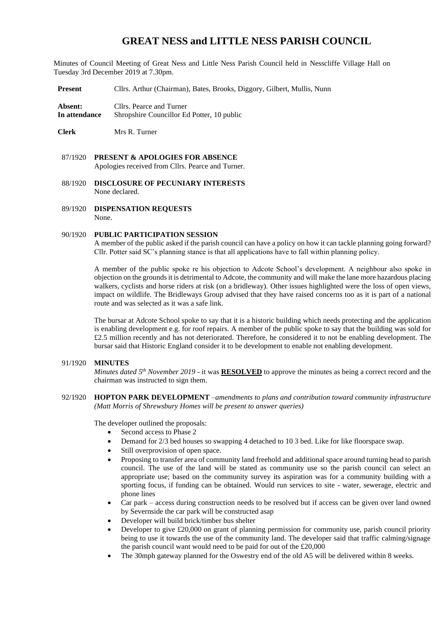# **GREAT NESS and LITTLE NESS PARISH COUNCIL**

Minutes of Council Meeting of Great Ness and Little Ness Parish Council held in Nesscliffe Village Hall on Tuesday 3rd December 2019 at 7.30pm.

**Present** Cllrs. Arthur (Chairman), Bates, Brooks, Diggory, Gilbert, Mullis, Nunn

**Absent:** Cllrs. Pearce and Turner **In attendance** Shropshire Councillor Ed Potter, 10 public

**Clerk** Mrs R. Turner

- 88/1920 **DISCLOSURE OF PECUNIARY INTERESTS** None declared.
- 89/1920 **DISPENSATION REQUESTS** None.

#### 90/1920 **PUBLIC PARTICIPATION SESSION**

A member of the public asked if the parish council can have a policy on how it can tackle planning going forward? Cllr. Potter said SC's planning stance is that all applications have to fall within planning policy.

A member of the public spoke re his objection to Adcote School's development. A neighbour also spoke in objection on the grounds it is detrimental to Adcote, the community and will make the lane more hazardous placing walkers, cyclists and horse riders at risk (on a bridleway). Other issues highlighted were the loss of open views, impact on wildlife. The Bridleways Group advised that they have raised concerns too as it is part of a national route and was selected as it was a safe link.

The bursar at Adcote School spoke to say that it is a historic building which needs protecting and the application is enabling development e.g. for roof repairs. A member of the public spoke to say that the building was sold for £2.5 million recently and has not deteriorated. Therefore, he considered it to not be enabling development. The bursar said that Historic England consider it to be development to enable not enabling development.

#### 91/1920 **MINUTES**

*Minutes dated 5<sup>th</sup> November 2019* - it was **RESOLVED** to approve the minutes as being a correct record and the chairman was instructed to sign them.

92/1920 **HOPTON PARK DEVELOPMENT** –*amendments to plans and contribution toward community infrastructure (Matt Morris of Shrewsbury Homes will be present to answer queries)*

The developer outlined the proposals:

- Second access to Phase 2
- Demand for 2/3 bed houses so swapping 4 detached to 10 3 bed. Like for like floorspace swap.
- Still overprovision of open space.
- Proposing to transfer area of community land freehold and additional space around turning head to parish council. The use of the land will be stated as community use so the parish council can select an appropriate use; based on the community survey its aspiration was for a community building with a sporting focus, if funding can be obtained. Would run services to site - water, sewerage, electric and phone lines
- Car park access during construction needs to be resolved but if access can be given over land owned by Severnside the car park will be constructed asap
- Developer will build brick/timber bus shelter
- Developer to give £20,000 on grant of planning permission for community use, parish council priority being to use it towards the use of the community land. The developer said that traffic calming/signage the parish council want would need to be paid for out of the £20,000
- The 30mph gateway planned for the Oswestry end of the old A5 will be delivered within 8 weeks.

<sup>87/1920</sup> **PRESENT & APOLOGIES FOR ABSENCE**  Apologies received from Cllrs. Pearce and Turner.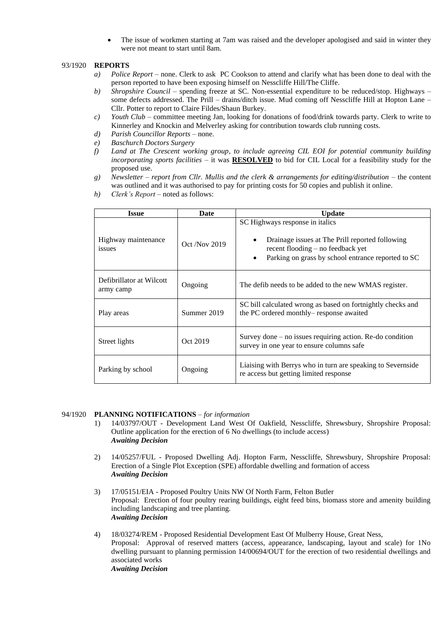The issue of workmen starting at 7am was raised and the developer apologised and said in winter they were not meant to start until 8am.

#### 93/1920 **REPORTS**

- *a) Police Report*  none. Clerk to ask PC Cookson to attend and clarify what has been done to deal with the person reported to have been exposing himself on Nesscliffe Hill/The Cliffe.
- *b) Shropshire Council* spending freeze at SC. Non-essential expenditure to be reduced/stop. Highways some defects addressed. The Prill – drains/ditch issue. Mud coming off Nesscliffe Hill at Hopton Lane – Cllr. Potter to report to Claire Fildes/Shaun Burkey.
- *c) Youth Club* committee meeting Jan, looking for donations of food/drink towards party. Clerk to write to Kinnerley and Knockin and Melverley asking for contribution towards club running costs.
- *d) Parish Councillor Reports* none.
- *e) Baschurch Doctors Surgery*
- *f) Land at The Crescent working group, to include agreeing CIL EOI for potential community building incorporating sports facilities* – it was **RESOLVED** to bid for CIL Local for a feasibility study for the proposed use.
- *g) Newsletter – report from Cllr. Mullis and the clerk & arrangements for editing/distribution* the content was outlined and it was authorised to pay for printing costs for 50 copies and publish it online.
- *h) Clerk's Report* noted as follows:

| <b>Issue</b>                          | Date            | <b>Update</b>                                                                                                                                                                                             |  |  |
|---------------------------------------|-----------------|-----------------------------------------------------------------------------------------------------------------------------------------------------------------------------------------------------------|--|--|
| Highway maintenance<br>issues         | $Oct$ /Nov 2019 | SC Highways response in italics<br>Drainage issues at The Prill reported following<br>$\bullet$<br>$recent flooding - no feedback yet$<br>Parking on grass by school entrance reported to SC<br>$\bullet$ |  |  |
| Defibrillator at Wilcott<br>army camp | Ongoing         | The defib needs to be added to the new WMAS register.                                                                                                                                                     |  |  |
| Play areas                            | Summer 2019     | SC bill calculated wrong as based on fortnightly checks and<br>the PC ordered monthly-response awaited                                                                                                    |  |  |
| Street lights                         | Oct 2019        | Survey done $-$ no issues requiring action. Re-do condition<br>survey in one year to ensure columns safe                                                                                                  |  |  |
| Parking by school                     | Ongoing         | Liaising with Berrys who in turn are speaking to Severnside<br>re access but getting limited response                                                                                                     |  |  |

# 94/1920 **PLANNING NOTIFICATIONS** – *for information*

- 1) 14/03797/OUT Development Land West Of Oakfield, Nesscliffe, Shrewsbury, Shropshire Proposal: Outline application for the erection of 6 No dwellings (to include access) *Awaiting Decision*
- 2) 14/05257/FUL Proposed Dwelling Adj. Hopton Farm, Nesscliffe, Shrewsbury, Shropshire Proposal: Erection of a Single Plot Exception (SPE) affordable dwelling and formation of access *Awaiting Decision*
- 3) 17/05151/EIA Proposed Poultry Units NW Of North Farm, Felton Butler Proposal: Erection of four poultry rearing buildings, eight feed bins, biomass store and amenity building including landscaping and tree planting. *Awaiting Decision*
- 4) 18/03274/REM Proposed Residential Development East Of Mulberry House, Great Ness, Proposal: Approval of reserved matters (access, appearance, landscaping, layout and scale) for 1No dwelling pursuant to planning permission 14/00694/OUT for the erection of two residential dwellings and associated works *Awaiting Decision*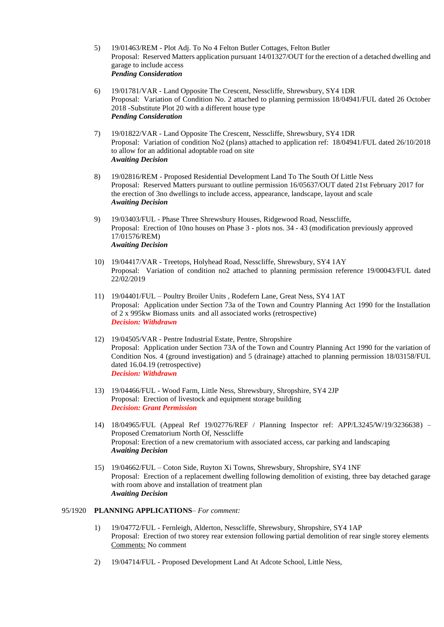- 5) 19/01463/REM Plot Adj. To No 4 Felton Butler Cottages, Felton Butler Proposal: Reserved Matters application pursuant 14/01327/OUT for the erection of a detached dwelling and garage to include access *Pending Consideration*
- 6) 19/01781/VAR Land Opposite The Crescent, Nesscliffe, Shrewsbury, SY4 1DR Proposal: Variation of Condition No. 2 attached to planning permission 18/04941/FUL dated 26 October 2018 -Substitute Plot 20 with a different house type *Pending Consideration*
- 7) 19/01822/VAR Land Opposite The Crescent, Nesscliffe, Shrewsbury, SY4 1DR Proposal: Variation of condition No2 (plans) attached to application ref: 18/04941/FUL dated 26/10/2018 to allow for an additional adoptable road on site *Awaiting Decision*
- 8) 19/02816/REM Proposed Residential Development Land To The South Of Little Ness Proposal: Reserved Matters pursuant to outline permission 16/05637/OUT dated 21st February 2017 for the erection of 3no dwellings to include access, appearance, landscape, layout and scale *Awaiting Decision*
- 9) 19/03403/FUL Phase Three Shrewsbury Houses, Ridgewood Road, Nesscliffe, Proposal: Erection of 10no houses on Phase 3 - plots nos. 34 - 43 (modification previously approved 17/01576/REM) *Awaiting Decision*
- 10) 19/04417/VAR Treetops, Holyhead Road, Nesscliffe, Shrewsbury, SY4 1AY Proposal: Variation of condition no2 attached to planning permission reference 19/00043/FUL dated 22/02/2019
- 11) 19/04401/FUL Poultry Broiler Units , Rodefern Lane, Great Ness, SY4 1AT Proposal: Application under Section 73a of the Town and Country Planning Act 1990 for the Installation of 2 x 995kw Biomass units and all associated works (retrospective) *Decision: Withdrawn*
- 12) 19/04505/VAR Pentre Industrial Estate, Pentre, Shropshire Proposal: Application under Section 73A of the Town and Country Planning Act 1990 for the variation of Condition Nos. 4 (ground investigation) and 5 (drainage) attached to planning permission 18/03158/FUL dated 16.04.19 (retrospective) *Decision: Withdrawn*
- 13) 19/04466/FUL Wood Farm, Little Ness, Shrewsbury, Shropshire, SY4 2JP Proposal: Erection of livestock and equipment storage building *Decision: Grant Permission*
- 14) 18/04965/FUL (Appeal Ref 19/02776/REF / Planning Inspector ref: APP/L3245/W/19/3236638) Proposed Crematorium North Of, Nesscliffe Proposal: Erection of a new crematorium with associated access, car parking and landscaping *Awaiting Decision*
- 15) 19/04662/FUL Coton Side, Ruyton Xi Towns, Shrewsbury, Shropshire, SY4 1NF Proposal: Erection of a replacement dwelling following demolition of existing, three bay detached garage with room above and installation of treatment plan *Awaiting Decision*

## 95/1920 **PLANNING APPLICATIONS**– *For comment:*

- 1) 19/04772/FUL Fernleigh, Alderton, Nesscliffe, Shrewsbury, Shropshire, SY4 1AP Proposal: Erection of two storey rear extension following partial demolition of rear single storey elements Comments: No comment
- 2) 19/04714/FUL Proposed Development Land At Adcote School, Little Ness,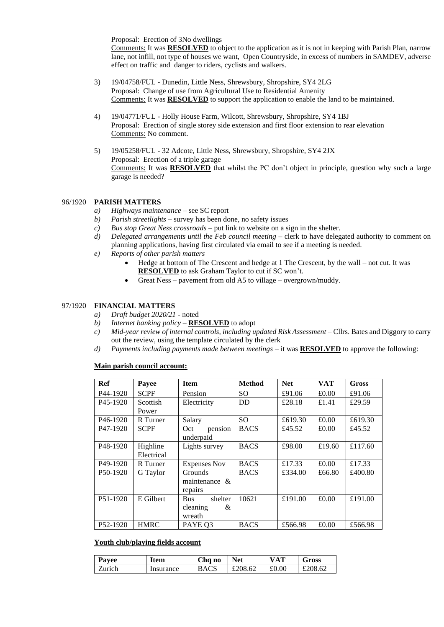Proposal: Erection of 3No dwellings

Comments: It was **RESOLVED** to object to the application as it is not in keeping with Parish Plan, narrow lane, not infill, not type of houses we want, Open Countryside, in excess of numbers in SAMDEV, adverse effect on traffic and danger to riders, cyclists and walkers.

- 3) 19/04758/FUL Dunedin, Little Ness, Shrewsbury, Shropshire, SY4 2LG Proposal: Change of use from Agricultural Use to Residential Amenity Comments: It was **RESOLVED** to support the application to enable the land to be maintained.
- 4) 19/04771/FUL Holly House Farm, Wilcott, Shrewsbury, Shropshire, SY4 1BJ Proposal: Erection of single storey side extension and first floor extension to rear elevation Comments: No comment.
- 5) 19/05258/FUL 32 Adcote, Little Ness, Shrewsbury, Shropshire, SY4 2JX Proposal: Erection of a triple garage Comments: It was **RESOLVED** that whilst the PC don't object in principle, question why such a large garage is needed?

## 96/1920 **PARISH MATTERS**

- *a) Highways maintenance* see SC report
- *b) Parish streetlights* survey has been done, no safety issues
- *c) Bus stop Great Ness crossroads* put link to website on a sign in the shelter.
- *d) Delegated arrangements until the Feb council meeting* clerk to have delegated authority to comment on planning applications, having first circulated via email to see if a meeting is needed.
- *e) Reports of other parish matters*
	- Hedge at bottom of The Crescent and hedge at 1 The Crescent, by the wall not cut. It was **RESOLVED** to ask Graham Taylor to cut if SC won't.
	- Great Ness pavement from old A5 to village overgrown/muddy.

#### 97/1920 **FINANCIAL MATTERS**

- *a) Draft budget 2020/21* noted
- *b) Internet banking policy –* **RESOLVED** to adopt
- *c) Mid-year review of internal controls, including updated Risk Assessment* Cllrs. Bates and Diggory to carry out the review, using the template circulated by the clerk
- *d) Payments including payments made between meetings –* it was **RESOLVED** to approve the following:

#### **Main parish council account:**

| <b>Ref</b>            | Payee       | <b>Item</b>           | <b>Method</b> | <b>Net</b> | <b>VAT</b> | Gross   |
|-----------------------|-------------|-----------------------|---------------|------------|------------|---------|
| P <sub>44</sub> -1920 | <b>SCPF</b> | Pension               | SO.           | £91.06     | £0.00      | £91.06  |
| P <sub>45</sub> -1920 | Scottish    | Electricity           | <b>DD</b>     | £28.18     | £1.41      | £29.59  |
|                       | Power       |                       |               |            |            |         |
| P <sub>46</sub> -1920 | R Turner    | Salary                | <b>SO</b>     | £619.30    | £0.00      | £619.30 |
| P <sub>47</sub> -1920 | <b>SCPF</b> | pension<br>Oct        | <b>BACS</b>   | £45.52     | £0.00      | £45.52  |
|                       |             | underpaid             |               |            |            |         |
| P <sub>48</sub> -1920 | Highline    | Lights survey         | <b>BACS</b>   | £98.00     | £19.60     | £117.60 |
|                       | Electrical  |                       |               |            |            |         |
| P49-1920              | R Turner    | <b>Expenses Nov</b>   | <b>BACS</b>   | £17.33     | £0.00      | £17.33  |
| P <sub>50</sub> -1920 | G Taylor    | Grounds               | <b>BACS</b>   | £334.00    | £66.80     | £400.80 |
|                       |             | maintenance $\&$      |               |            |            |         |
|                       |             | repairs               |               |            |            |         |
| P51-1920              | E Gilbert   | shelter<br><b>Bus</b> | 10621         | £191.00    | £0.00      | £191.00 |
|                       |             | cleaning<br>&         |               |            |            |         |
|                       |             | wreath                |               |            |            |         |
| P <sub>52</sub> -1920 | <b>HMRC</b> | PAYE Q3               | <b>BACS</b>   | £566.98    | £0.00      | £566.98 |

#### **Youth club/playing fields account**

| Payee  | Item      | Cha no      | Net     | <b>VAT</b> | Gross   |
|--------|-----------|-------------|---------|------------|---------|
| Zurich | Insurance | <b>BACS</b> | £208.62 | £0.00      | £208.62 |